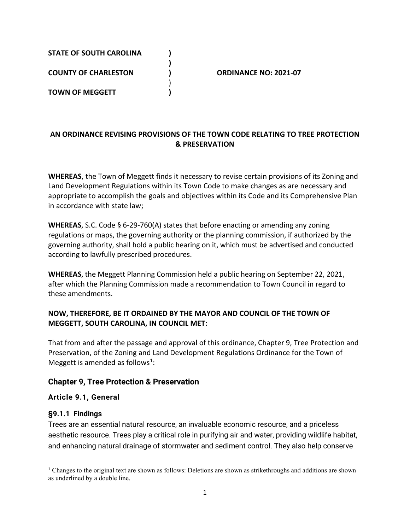| <b>STATE OF SOUTH CAROLINA</b> |                              |  |
|--------------------------------|------------------------------|--|
| <b>COUNTY OF CHARLESTON</b>    | <b>ORDINANCE NO: 2021-07</b> |  |
| <b>TOWN OF MEGGETT</b>         |                              |  |
|                                |                              |  |

## **AN ORDINANCE REVISING PROVISIONS OF THE TOWN CODE RELATING TO TREE PROTECTION & PRESERVATION**

**WHEREAS**, the Town of Meggett finds it necessary to revise certain provisions of its Zoning and Land Development Regulations within its Town Code to make changes as are necessary and appropriate to accomplish the goals and objectives within its Code and its Comprehensive Plan in accordance with state law;

**WHEREAS**, S.C. Code § 6-29-760(A) states that before enacting or amending any zoning regulations or maps, the governing authority or the planning commission, if authorized by the governing authority, shall hold a public hearing on it, which must be advertised and conducted according to lawfully prescribed procedures.

**WHEREAS**, the Meggett Planning Commission held a public hearing on September 22, 2021, after which the Planning Commission made a recommendation to Town Council in regard to these amendments.

#### **NOW, THEREFORE, BE IT ORDAINED BY THE MAYOR AND COUNCIL OF THE TOWN OF MEGGETT, SOUTH CAROLINA, IN COUNCIL MET:**

That from and after the passage and approval of this ordinance, Chapter 9, Tree Protection and Preservation, of the Zoning and Land Development Regulations Ordinance for the Town of Meggett is amended as follows<sup>[1](#page-0-0)</sup>:

#### **Chapter 9, Tree Protection & Preservation**

#### **Article 9.1, General**

#### **§9.1.1 Findings**

Trees are an essential natural resource, an invaluable economic resource, and a priceless aesthetic resource. Trees play a critical role in purifying air and water, providing wildlife habitat, and enhancing natural drainage of stormwater and sediment control. They also help conserve

<span id="page-0-0"></span><sup>1</sup> Changes to the original text are shown as follows: Deletions are shown as strikethroughs and additions are shown as underlined by a double line.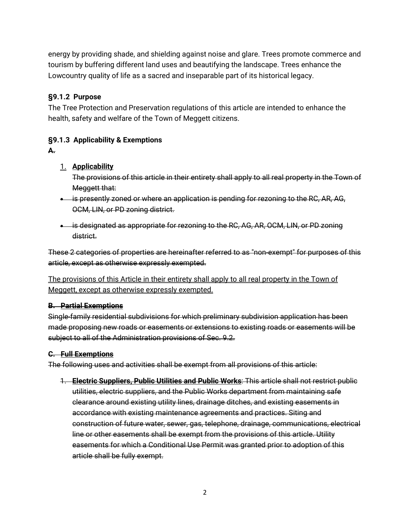energy by providing shade, and shielding against noise and glare. Trees promote commerce and tourism by buffering different land uses and beautifying the landscape. Trees enhance the Lowcountry quality of life as a sacred and inseparable part of its historical legacy.

## **§9.1.2 Purpose**

The Tree Protection and Preservation regulations of this article are intended to enhance the health, safety and welfare of the Town of Meggett citizens.

## **§9.1.3 Applicability & Exemptions**

**A.**

### 1. **Applicability**

The provisions of this article in their entirety shall apply to all real property in the Town of Meggett that:

- is presently zoned or where an application is pending for rezoning to the RC, AR, AG, OCM, LIN, or PD zoning district.
- is designated as appropriate for rezoning to the RC, AG, AR, OCM, LIN, or PD zoning district.

These 2 categories of properties are hereinafter referred to as "non-exempt" for purposes of this article, except as otherwise expressly exempted.

The provisions of this Article in their entirety shall apply to all real property in the Town of Meggett, except as otherwise expressly exempted.

#### **B. Partial Exemptions**

Single-family residential subdivisions for which preliminary subdivision application has been made proposing new roads or easements or extensions to existing roads or easements will be subject to all of the Administration provisions of Sec. 9.2.

#### **C. Full Exemptions**

The following uses and activities shall be exempt from all provisions of this article:

1. **Electric Suppliers, Public Utilities and Public Works**: This article shall not restrict public utilities, electric suppliers, and the Public Works department from maintaining safe clearance around existing utility lines, drainage ditches, and existing easements in accordance with existing maintenance agreements and practices. Siting and construction of future water, sewer, gas, telephone, drainage, communications, electrical line or other easements shall be exempt from the provisions of this article. Utility easements for which a Conditional Use Permit was granted prior to adoption of this article shall be fully exempt.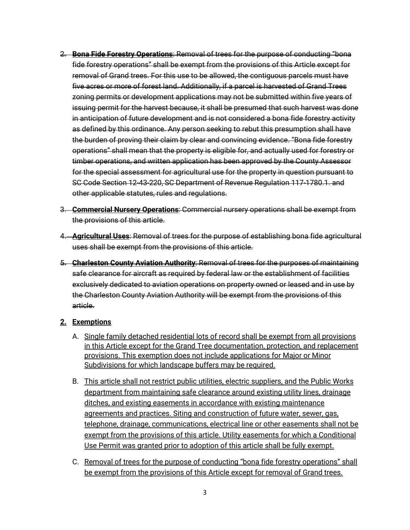- 2. **Bona Fide Forestry Operations**: Removal of trees for the purpose of conducting "bona fide forestry operations" shall be exempt from the provisions of this Article except for removal of Grand trees. For this use to be allowed, the contiguous parcels must have five acres or more of forest land. Additionally, if a parcel is harvested of Grand Trees zoning permits or development applications may not be submitted within five years of issuing permit for the harvest because, it shall be presumed that such harvest was done in anticipation of future development and is not considered a bona fide forestry activity as defined by this ordinance. Any person seeking to rebut this presumption shall have the burden of proving their claim by clear and convincing evidence. "Bona fide forestry operations" shall mean that the property is eligible for, and actually used for forestry or timber operations, and written application has been approved by the County Assessor for the special assessment for agricultural use for the property in question pursuant to SC Code Section 12-43-220, SC Department of Revenue Regulation 117-1780.1. and other applicable statutes, rules and regulations.
- 3. **Commercial Nursery Operations**: Commercial nursery operations shall be exempt from the provisions of this article.
- 4. **Agricultural Uses**: Removal of trees for the purpose of establishing bona fide agricultural uses shall be exempt from the provisions of this article.
- 5. **Charleston County Aviation Authority**: Removal of trees for the purposes of maintaining safe clearance for aircraft as required by federal law or the establishment of facilities exclusively dedicated to aviation operations on property owned or leased and in use by the Charleston County Aviation Authority will be exempt from the provisions of this article.

#### **2. Exemptions**

- A. Single family detached residential lots of record shall be exempt from all provisions in this Article except for the Grand Tree documentation, protection, and replacement provisions. This exemption does not include applications for Major or Minor Subdivisions for which landscape buffers may be required.
- B. This article shall not restrict public utilities, electric suppliers, and the Public Works department from maintaining safe clearance around existing utility lines, drainage ditches, and existing easements in accordance with existing maintenance agreements and practices. Siting and construction of future water, sewer, gas, telephone, drainage, communications, electrical line or other easements shall not be exempt from the provisions of this article. Utility easements for which a Conditional Use Permit was granted prior to adoption of this article shall be fully exempt.
- C. Removal of trees for the purpose of conducting "bona fide forestry operations" shall be exempt from the provisions of this Article except for removal of Grand trees.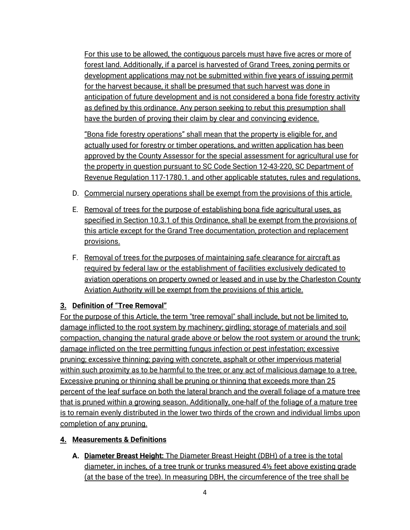For this use to be allowed, the contiguous parcels must have five acres or more of forest land. Additionally, if a parcel is harvested of Grand Trees, zoning permits or development applications may not be submitted within five years of issuing permit for the harvest because, it shall be presumed that such harvest was done in anticipation of future development and is not considered a bona fide forestry activity as defined by this ordinance. Any person seeking to rebut this presumption shall have the burden of proving their claim by clear and convincing evidence.

"Bona fide forestry operations" shall mean that the property is eligible for, and actually used for forestry or timber operations, and written application has been approved by the County Assessor for the special assessment for agricultural use for the property in question pursuant to SC Code Section 12-43-220, SC Department of Revenue Regulation 117-1780.1. and other applicable statutes, rules and regulations.

- D. Commercial nursery operations shall be exempt from the provisions of this article.
- E. Removal of trees for the purpose of establishing bona fide agricultural uses, as specified in Section 10.3.1 of this Ordinance, shall be exempt from the provisions of this article except for the Grand Tree documentation, protection and replacement provisions.
- F. Removal of trees for the purposes of maintaining safe clearance for aircraft as required by federal law or the establishment of facilities exclusively dedicated to aviation operations on property owned or leased and in use by the Charleston County Aviation Authority will be exempt from the provisions of this article.

# **3. Definition of "Tree Removal"**

For the purpose of this Article, the term "tree removal" shall include, but not be limited to, damage inflicted to the root system by machinery; girdling; storage of materials and soil compaction, changing the natural grade above or below the root system or around the trunk; damage inflicted on the tree permitting fungus infection or pest infestation; excessive pruning; excessive thinning; paving with concrete, asphalt or other impervious material within such proximity as to be harmful to the tree; or any act of malicious damage to a tree. Excessive pruning or thinning shall be pruning or thinning that exceeds more than 25 percent of the leaf surface on both the lateral branch and the overall foliage of a mature tree that is pruned within a growing season. Additionally, one-half of the foliage of a mature tree is to remain evenly distributed in the lower two thirds of the crown and individual limbs upon completion of any pruning.

## **4. Measurements & Definitions**

**A. Diameter Breast Height:** The Diameter Breast Height (DBH) of a tree is the total diameter, in inches, of a tree trunk or trunks measured  $4\frac{1}{2}$  feet above existing grade (at the base of the tree). In measuring DBH, the circumference of the tree shall be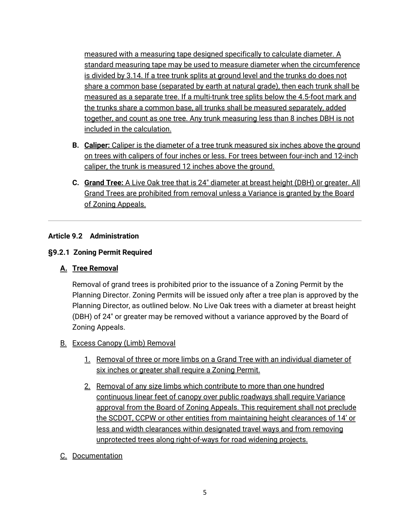measured with a measuring tape designed specifically to calculate diameter. A standard measuring tape may be used to measure diameter when the circumference is divided by 3.14. If a tree trunk splits at ground level and the trunks do does not share a common base (separated by earth at natural grade), then each trunk shall be measured as a separate tree. If a multi-trunk tree splits below the 4.5-foot mark and the trunks share a common base, all trunks shall be measured separately, added together, and count as one tree. Any trunk measuring less than 8 inches DBH is not included in the calculation.

- **B. Caliper:** Caliper is the diameter of a tree trunk measured six inches above the ground on trees with calipers of four inches or less. For trees between four-inch and 12-inch caliper, the trunk is measured 12 inches above the ground.
- **C. Grand Tree:** A Live Oak tree that is 24" diameter at breast height (DBH) or greater. All Grand Trees are prohibited from removal unless a Variance is granted by the Board of Zoning Appeals.

#### **Article 9.2 Administration**

### **§9.2.1 Zoning Permit Required**

## **A. Tree Removal**

Removal of grand trees is prohibited prior to the issuance of a Zoning Permit by the Planning Director. Zoning Permits will be issued only after a tree plan is approved by the Planning Director, as outlined below. No Live Oak trees with a diameter at breast height (DBH) of 24" or greater may be removed without a variance approved by the Board of Zoning Appeals.

#### B. Excess Canopy (Limb) Removal

- 1. Removal of three or more limbs on a Grand Tree with an individual diameter of six inches or greater shall require a Zoning Permit.
- 2. Removal of any size limbs which contribute to more than one hundred continuous linear feet of canopy over public roadways shall require Variance approval from the Board of Zoning Appeals. This requirement shall not preclude the SCDOT, CCPW or other entities from maintaining height clearances of 14' or less and width clearances within designated travel ways and from removing unprotected trees along right-of-ways for road widening projects.
- C. Documentation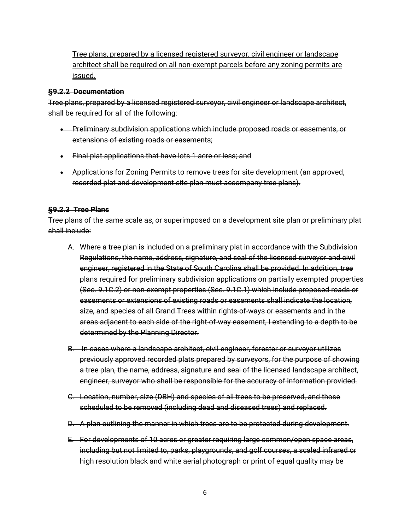Tree plans, prepared by a licensed registered surveyor, civil engineer or landscape architect shall be required on all non-exempt parcels before any zoning permits are issued.

#### **§9.2.2 Documentation**

Tree plans, prepared by a licensed registered surveyor, civil engineer or landscape architect, shall be required for all of the following:

- Preliminary subdivision applications which include proposed roads or easements, or extensions of existing roads or easements;
- Final plat applications that have lots 1 acre or less; and
- Applications for Zoning Permits to remove trees for site development (an approved, recorded plat and development site plan must accompany tree plans).

#### **§9.2.3 Tree Plans**

Tree plans of the same scale as, or superimposed on a development site plan or preliminary plat shall include:

- A. Where a tree plan is included on a preliminary plat in accordance with the Subdivision Regulations, the name, address, signature, and seal of the licensed surveyor and civil engineer, registered in the State of South Carolina shall be provided. In addition, tree plans required for preliminary subdivision applications on partially exempted properties (Sec. 9.1C.2) or non-exempt properties (Sec. 9.1C.1) which include proposed roads or easements or extensions of existing roads or easements shall indicate the location, size, and species of all Grand Trees within rights-of-ways or easements and in the areas adjacent to each side of the right-of-way easement, I extending to a depth to be determined by the Planning Director.
- B. In cases where a landscape architect, civil engineer, forester or surveyor utilizes previously approved recorded plats prepared by surveyors, for the purpose of showing a tree plan, the name, address, signature and seal of the licensed landscape architect, engineer, surveyor who shall be responsible for the accuracy of information provided.
- C. Location, number, size (DBH) and species of all trees to be preserved, and those scheduled to be removed (including dead and diseased trees) and replaced.
- D. A plan outlining the manner in which trees are to be protected during development.
- E. For developments of 10 acres or greater requiring large common/open space areas, including but not limited to, parks, playgrounds, and golf courses, a scaled infrared or high resolution black and white aerial photograph or print of equal quality may be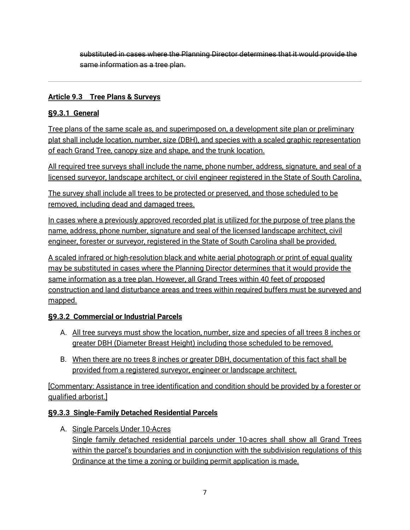substituted in cases where the Planning Director determines that it would provide the same information as a tree plan.

### **Article 9.3 Tree Plans & Surveys**

## **§9.3.1 General**

Tree plans of the same scale as, and superimposed on, a development site plan or preliminary plat shall include location, number, size (DBH), and species with a scaled graphic representation of each Grand Tree, canopy size and shape, and the trunk location.

All required tree surveys shall include the name, phone number, address, signature, and seal of a licensed surveyor, landscape architect, or civil engineer registered in the State of South Carolina.

The survey shall include all trees to be protected or preserved, and those scheduled to be removed, including dead and damaged trees.

In cases where a previously approved recorded plat is utilized for the purpose of tree plans the name, address, phone number, signature and seal of the licensed landscape architect, civil engineer, forester or surveyor, registered in the State of South Carolina shall be provided.

A scaled infrared or high-resolution black and white aerial photograph or print of equal quality may be substituted in cases where the Planning Director determines that it would provide the same information as a tree plan. However, all Grand Trees within 40 feet of proposed construction and land disturbance areas and trees within required buffers must be surveyed and mapped.

## **§9.3.2 Commercial or Industrial Parcels**

- A. All tree surveys must show the location, number, size and species of all trees 8 inches or greater DBH (Diameter Breast Height) including those scheduled to be removed.
- B. When there are no trees 8 inches or greater DBH, documentation of this fact shall be provided from a registered surveyor, engineer or landscape architect.

[Commentary: Assistance in tree identification and condition should be provided by a forester or qualified arborist.]

#### **§9.3.3 Single-Family Detached Residential Parcels**

A. Single Parcels Under 10-Acres Single family detached residential parcels under 10-acres shall show all Grand Trees within the parcel's boundaries and in conjunction with the subdivision regulations of this Ordinance at the time a zoning or building permit application is made.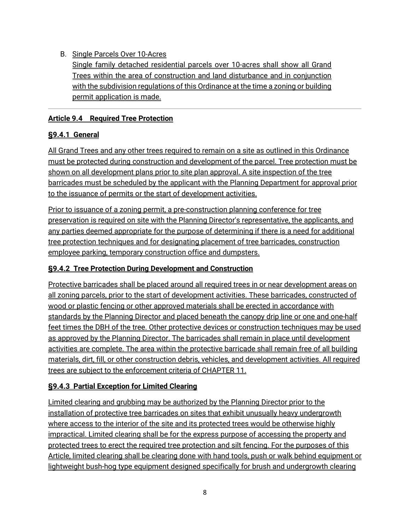## B. Single Parcels Over 10-Acres

Single family detached residential parcels over 10-acres shall show all Grand Trees within the area of construction and land disturbance and in conjunction with the subdivision regulations of this Ordinance at the time a zoning or building permit application is made.

### **Article 9.4 Required Tree Protection**

# **§9.4.1 General**

All Grand Trees and any other trees required to remain on a site as outlined in this Ordinance must be protected during construction and development of the parcel. Tree protection must be shown on all development plans prior to site plan approval. A site inspection of the tree barricades must be scheduled by the applicant with the Planning Department for approval prior to the issuance of permits or the start of development activities.

Prior to issuance of a zoning permit, a pre-construction planning conference for tree preservation is required on site with the Planning Director's representative, the applicants, and any parties deemed appropriate for the purpose of determining if there is a need for additional tree protection techniques and for designating placement of tree barricades, construction employee parking, temporary construction office and dumpsters.

# **§9.4.2 Tree Protection During Development and Construction**

Protective barricades shall be placed around all required trees in or near development areas on all zoning parcels, prior to the start of development activities. These barricades, constructed of wood or plastic fencing or other approved materials shall be erected in accordance with standards by the Planning Director and placed beneath the canopy drip line or one and one-half feet times the DBH of the tree. Other protective devices or construction techniques may be used as approved by the Planning Director. The barricades shall remain in place until development activities are complete. The area within the protective barricade shall remain free of all building materials, dirt, fill, or other construction debris, vehicles, and development activities. All required trees are subject to the enforcement criteria of CHAPTER 11.

## **§9.4.3 Partial Exception for Limited Clearing**

Limited clearing and grubbing may be authorized by the Planning Director prior to the installation of protective tree barricades on sites that exhibit unusually heavy undergrowth where access to the interior of the site and its protected trees would be otherwise highly impractical. Limited clearing shall be for the express purpose of accessing the property and protected trees to erect the required tree protection and silt fencing. For the purposes of this Article, limited clearing shall be clearing done with hand tools, push or walk behind equipment or lightweight bush-hog type equipment designed specifically for brush and undergrowth clearing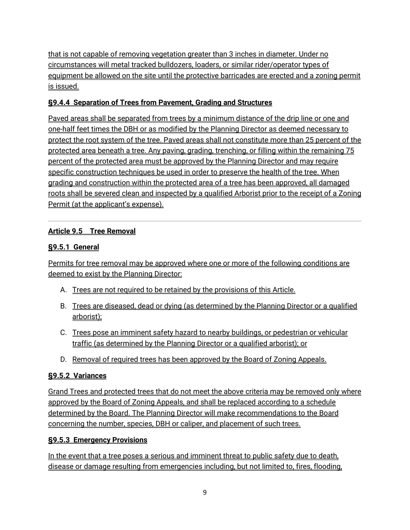that is not capable of removing vegetation greater than 3 inches in diameter. Under no circumstances will metal tracked bulldozers, loaders, or similar rider/operator types of equipment be allowed on the site until the protective barricades are erected and a zoning permit is issued.

# **§9.4.4 Separation of Trees from Pavement, Grading and Structures**

Paved areas shall be separated from trees by a minimum distance of the drip line or one and one-half feet times the DBH or as modified by the Planning Director as deemed necessary to protect the root system of the tree. Paved areas shall not constitute more than 25 percent of the protected area beneath a tree. Any paving, grading, trenching, or filling within the remaining 75 percent of the protected area must be approved by the Planning Director and may require specific construction techniques be used in order to preserve the health of the tree. When grading and construction within the protected area of a tree has been approved, all damaged roots shall be severed clean and inspected by a qualified Arborist prior to the receipt of a Zoning Permit (at the applicant's expense).

# **Article 9.5 Tree Removal**

# **§9.5.1 General**

Permits for tree removal may be approved where one or more of the following conditions are deemed to exist by the Planning Director:

- A. Trees are not required to be retained by the provisions of this Article.
- B. Trees are diseased, dead or dying (as determined by the Planning Director or a qualified arborist);
- C. Trees pose an imminent safety hazard to nearby buildings, or pedestrian or vehicular traffic (as determined by the Planning Director or a qualified arborist); or
- D. Removal of required trees has been approved by the Board of Zoning Appeals.

# **§9.5.2 Variances**

Grand Trees and protected trees that do not meet the above criteria may be removed only where approved by the Board of Zoning Appeals, and shall be replaced according to a schedule determined by the Board. The Planning Director will make recommendations to the Board concerning the number, species, DBH or caliper, and placement of such trees.

## **§9.5.3 Emergency Provisions**

In the event that a tree poses a serious and imminent threat to public safety due to death, disease or damage resulting from emergencies including, but not limited to, fires, flooding,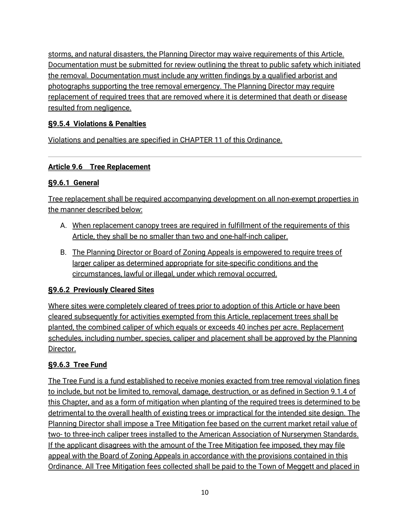storms, and natural disasters, the Planning Director may waive requirements of this Article. Documentation must be submitted for review outlining the threat to public safety which initiated the removal. Documentation must include any written findings by a qualified arborist and photographs supporting the tree removal emergency. The Planning Director may require replacement of required trees that are removed where it is determined that death or disease resulted from negligence.

# **§9.5.4 Violations & Penalties**

Violations and penalties are specified in CHAPTER 11 of this Ordinance.

## **Article 9.6 Tree Replacement**

# **§9.6.1 General**

Tree replacement shall be required accompanying development on all non-exempt properties in the manner described below:

- A. When replacement canopy trees are required in fulfillment of the requirements of this Article, they shall be no smaller than two and one-half-inch caliper.
- B. The Planning Director or Board of Zoning Appeals is empowered to require trees of larger caliper as determined appropriate for site-specific conditions and the circumstances, lawful or illegal, under which removal occurred.

## **§9.6.2 Previously Cleared Sites**

Where sites were completely cleared of trees prior to adoption of this Article or have been cleared subsequently for activities exempted from this Article, replacement trees shall be planted, the combined caliper of which equals or exceeds 40 inches per acre. Replacement schedules, including number, species, caliper and placement shall be approved by the Planning Director.

# **§9.6.3 Tree Fund**

The Tree Fund is a fund established to receive monies exacted from tree removal violation fines to include, but not be limited to, removal, damage, destruction, or as defined in Section 9.1.4 of this Chapter, and as a form of mitigation when planting of the required trees is determined to be detrimental to the overall health of existing trees or impractical for the intended site design. The Planning Director shall impose a Tree Mitigation fee based on the current market retail value of two- to three-inch caliper trees installed to the American Association of Nurserymen Standards. If the applicant disagrees with the amount of the Tree Mitigation fee imposed, they may file appeal with the Board of Zoning Appeals in accordance with the provisions contained in this Ordinance. All Tree Mitigation fees collected shall be paid to the Town of Meggett and placed in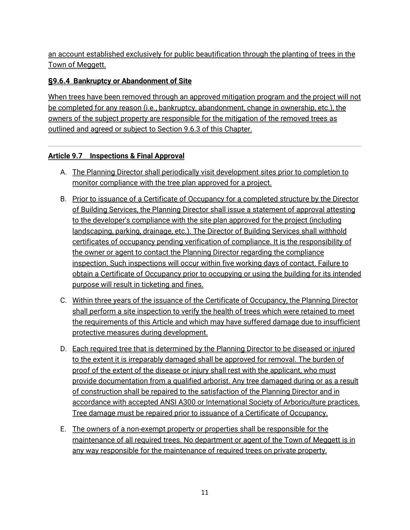an account established exclusively for public beautification through the planting of trees in the Town of Meggett.

## **§9.6.4 Bankruptcy or Abandonment of Site**

When trees have been removed through an approved mitigation program and the project will not be completed for any reason (i.e., bankruptcy, abandonment, change in ownership, etc.), the owners of the subject property are responsible for the mitigation of the removed trees as outlined and agreed or subject to Section 9.6.3 of this Chapter.

### **Article 9.7 Inspections & Final Approval**

- A. The Planning Director shall periodically visit development sites prior to completion to monitor compliance with the tree plan approved for a project.
- B. Prior to issuance of a Certificate of Occupancy for a completed structure by the Director of Building Services, the Planning Director shall issue a statement of approval attesting to the developer's compliance with the site plan approved for the project (including landscaping, parking, drainage, etc.). The Director of Building Services shall withhold certificates of occupancy pending verification of compliance. It is the responsibility of the owner or agent to contact the Planning Director regarding the compliance inspection. Such inspections will occur within five working days of contact. Failure to obtain a Certificate of Occupancy prior to occupying or using the building for its intended purpose will result in ticketing and fines.
- C. Within three years of the issuance of the Certificate of Occupancy, the Planning Director shall perform a site inspection to verify the health of trees which were retained to meet the requirements of this Article and which may have suffered damage due to insufficient protective measures during development.
- D. Each required tree that is determined by the Planning Director to be diseased or injured to the extent it is irreparably damaged shall be approved for removal. The burden of proof of the extent of the disease or injury shall rest with the applicant, who must provide documentation from a qualified arborist. Any tree damaged during or as a result of construction shall be repaired to the satisfaction of the Planning Director and in accordance with accepted ANSI A300 or International Society of Arboriculture practices. Tree damage must be repaired prior to issuance of a Certificate of Occupancy.
- E. The owners of a non-exempt property or properties shall be responsible for the maintenance of all required trees. No department or agent of the Town of Meggett is in any way responsible for the maintenance of required trees on private property.